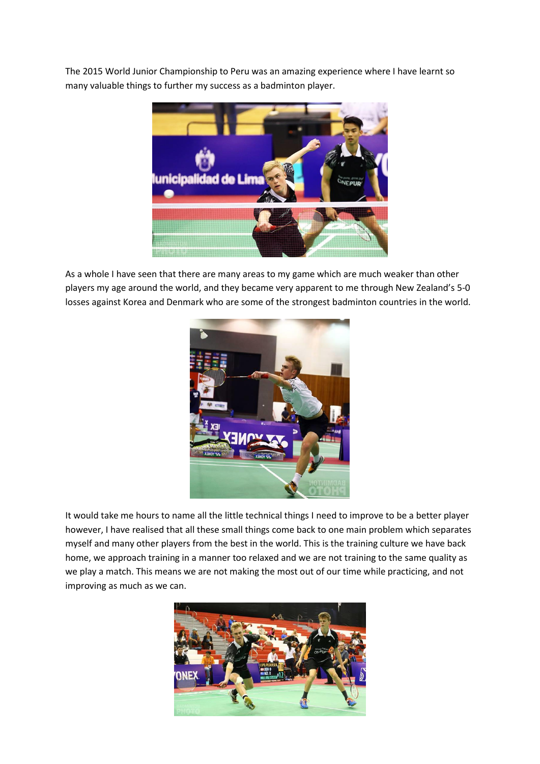The 2015 World Junior Championship to Peru was an amazing experience where I have learnt so many valuable things to further my success as a badminton player.



As a whole I have seen that there are many areas to my game which are much weaker than other players my age around the world, and they became very apparent to me through New Zealand's 5-0 losses against Korea and Denmark who are some of the strongest badminton countries in the world.



It would take me hours to name all the little technical things I need to improve to be a better player however, I have realised that all these small things come back to one main problem which separates myself and many other players from the best in the world. This is the training culture we have back home, we approach training in a manner too relaxed and we are not training to the same quality as we play a match. This means we are not making the most out of our time while practicing, and not improving as much as we can.